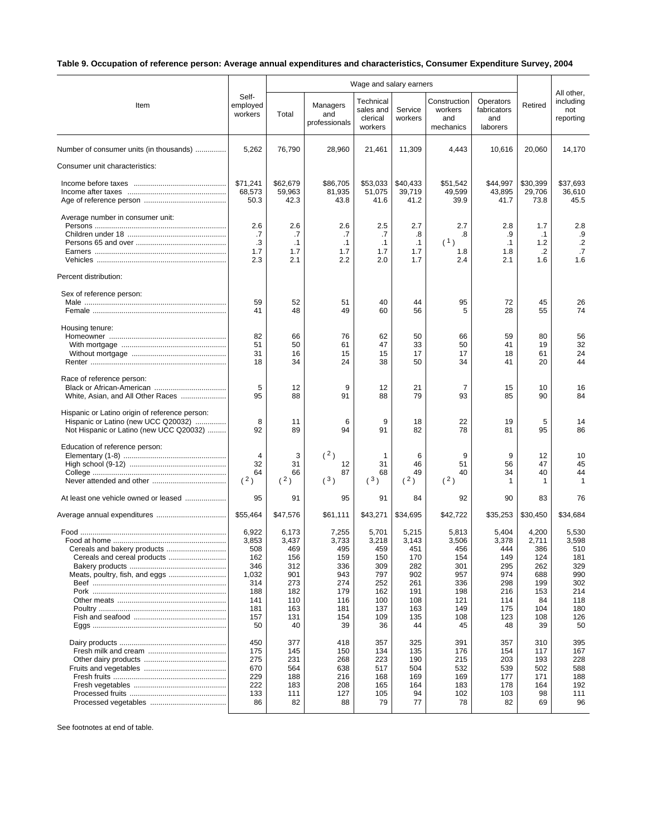## **Table 9. Occupation of reference person: Average annual expenditures and characteristics, Consumer Expenditure Survey, 2004**

|                                                                                                                                  |                                                                                       | Wage and salary earners                                                             |                                                                                     |                                                                                     |                                                                                     |                                                                                     |                                                                                     |                                                                                    |                                                                                     |
|----------------------------------------------------------------------------------------------------------------------------------|---------------------------------------------------------------------------------------|-------------------------------------------------------------------------------------|-------------------------------------------------------------------------------------|-------------------------------------------------------------------------------------|-------------------------------------------------------------------------------------|-------------------------------------------------------------------------------------|-------------------------------------------------------------------------------------|------------------------------------------------------------------------------------|-------------------------------------------------------------------------------------|
| Item                                                                                                                             | Self-<br>employed<br>workers                                                          | Total                                                                               | Managers<br>and<br>professionals                                                    | Technical<br>sales and<br>clerical<br>workers                                       | Service<br>workers                                                                  | Construction<br>workers<br>and<br>mechanics                                         | Operators<br>fabricators<br>and<br>laborers                                         | Retired                                                                            | All other,<br>including<br>not<br>reporting                                         |
| Number of consumer units (in thousands)                                                                                          | 5,262                                                                                 | 76,790                                                                              | 28,960                                                                              | 21,461                                                                              | 11,309                                                                              | 4,443                                                                               | 10,616                                                                              | 20,060                                                                             | 14,170                                                                              |
| Consumer unit characteristics:                                                                                                   |                                                                                       |                                                                                     |                                                                                     |                                                                                     |                                                                                     |                                                                                     |                                                                                     |                                                                                    |                                                                                     |
|                                                                                                                                  | \$71,241<br>68,573<br>50.3                                                            | \$62,679<br>59,963<br>42.3                                                          | \$86,705<br>81,935<br>43.8                                                          | \$53,033<br>51,075<br>41.6                                                          | \$40,433<br>39,719<br>41.2                                                          | \$51,542<br>49,599<br>39.9                                                          | \$44,997<br>43,895<br>41.7                                                          | \$30,399<br>29,706<br>73.8                                                         | \$37,693<br>36,610<br>45.5                                                          |
| Average number in consumer unit:                                                                                                 | 2.6<br>.7<br>.3<br>1.7<br>2.3                                                         | 2.6<br>.7<br>.1<br>1.7<br>2.1                                                       | 2.6<br>.7<br>$\cdot$ 1<br>1.7<br>2.2                                                | 2.5<br>.7<br>$\cdot$ 1<br>1.7<br>2.0                                                | 2.7<br>.8<br>$\cdot$ 1<br>1.7<br>1.7                                                | 2.7<br>.8<br>(1)<br>1.8<br>2.4                                                      | 2.8<br>.9<br>$\cdot$ 1<br>1.8<br>2.1                                                | 1.7<br>$\cdot$ 1<br>1.2<br>$\cdot$<br>1.6                                          | 2.8<br>.9<br>$.2\phantom{0}$<br>.7<br>1.6                                           |
| Percent distribution:                                                                                                            |                                                                                       |                                                                                     |                                                                                     |                                                                                     |                                                                                     |                                                                                     |                                                                                     |                                                                                    |                                                                                     |
| Sex of reference person:                                                                                                         | 59<br>41                                                                              | 52<br>48                                                                            | 51<br>49                                                                            | 40<br>60                                                                            | 44<br>56                                                                            | 95<br>5                                                                             | 72<br>28                                                                            | 45<br>55                                                                           | 26<br>74                                                                            |
| Housing tenure:                                                                                                                  | 82<br>51<br>31<br>18                                                                  | 66<br>50<br>16<br>34                                                                | 76<br>61<br>15<br>24                                                                | 62<br>47<br>15<br>38                                                                | 50<br>33<br>17<br>50                                                                | 66<br>50<br>17<br>34                                                                | 59<br>41<br>18<br>41                                                                | 80<br>19<br>61<br>20                                                               | 56<br>32<br>24<br>44                                                                |
| Race of reference person:<br>White, Asian, and All Other Races                                                                   | 5<br>95                                                                               | 12<br>88                                                                            | 9<br>91                                                                             | 12<br>88                                                                            | 21<br>79                                                                            | 7<br>93                                                                             | 15<br>85                                                                            | 10<br>90                                                                           | 16<br>84                                                                            |
| Hispanic or Latino origin of reference person:<br>Hispanic or Latino (new UCC Q20032)<br>Not Hispanic or Latino (new UCC Q20032) | 8<br>92                                                                               | 11<br>89                                                                            | 6<br>94                                                                             | 9<br>91                                                                             | 18<br>82                                                                            | 22<br>78                                                                            | 19<br>81                                                                            | 5<br>95                                                                            | 14<br>86                                                                            |
| Education of reference person:                                                                                                   | 4<br>32<br>64<br>(2)                                                                  | 3<br>31<br>66<br>(2)                                                                | (2)<br>12<br>87<br>(3)                                                              | 31<br>68<br>(3)                                                                     | 6<br>46<br>49<br>(2)                                                                | 9<br>51<br>40<br>(2)                                                                | 9<br>56<br>34<br>1                                                                  | 12<br>47<br>40<br>1                                                                | 10<br>45<br>44<br>1                                                                 |
|                                                                                                                                  | 95                                                                                    | 91                                                                                  | 95                                                                                  | 91                                                                                  | 84                                                                                  | 92                                                                                  | 90                                                                                  | 83                                                                                 | 76                                                                                  |
| Average annual expenditures                                                                                                      | \$55,464                                                                              | \$47,576                                                                            | \$61,111                                                                            | \$43,271                                                                            | \$34,695                                                                            | \$42,722                                                                            | \$35,253                                                                            | \$30,450                                                                           | \$34,684                                                                            |
| Cereals and bakery products                                                                                                      | 6,922<br>3,853<br>508<br>162<br>346<br>1,032<br>314<br>188<br>141<br>181<br>157<br>50 | 6,173<br>3,437<br>469<br>156<br>312<br>901<br>273<br>182<br>110<br>163<br>131<br>40 | 7,255<br>3,733<br>495<br>159<br>336<br>943<br>274<br>179<br>116<br>181<br>154<br>39 | 5,701<br>3,218<br>459<br>150<br>309<br>797<br>252<br>162<br>100<br>137<br>109<br>36 | 5,215<br>3,143<br>451<br>170<br>282<br>902<br>261<br>191<br>108<br>163<br>135<br>44 | 5,813<br>3,506<br>456<br>154<br>301<br>957<br>336<br>198<br>121<br>149<br>108<br>45 | 5,404<br>3,378<br>444<br>149<br>295<br>974<br>298<br>216<br>114<br>175<br>123<br>48 | 4,200<br>2,711<br>386<br>124<br>262<br>688<br>199<br>153<br>84<br>104<br>108<br>39 | 5,530<br>3,598<br>510<br>181<br>329<br>990<br>302<br>214<br>118<br>180<br>126<br>50 |
|                                                                                                                                  | 450<br>175<br>275<br>670<br>229<br>222<br>133<br>86                                   | 377<br>145<br>231<br>564<br>188<br>183<br>111<br>82                                 | 418<br>150<br>268<br>638<br>216<br>208<br>127<br>88                                 | 357<br>134<br>223<br>517<br>168<br>165<br>105<br>79                                 | 325<br>135<br>190<br>504<br>169<br>164<br>94<br>77                                  | 391<br>176<br>215<br>532<br>169<br>183<br>102<br>78                                 | 357<br>154<br>203<br>539<br>177<br>178<br>103<br>82                                 | 310<br>117<br>193<br>502<br>171<br>164<br>98<br>69                                 | 395<br>167<br>228<br>588<br>188<br>192<br>111<br>96                                 |

See footnotes at end of table.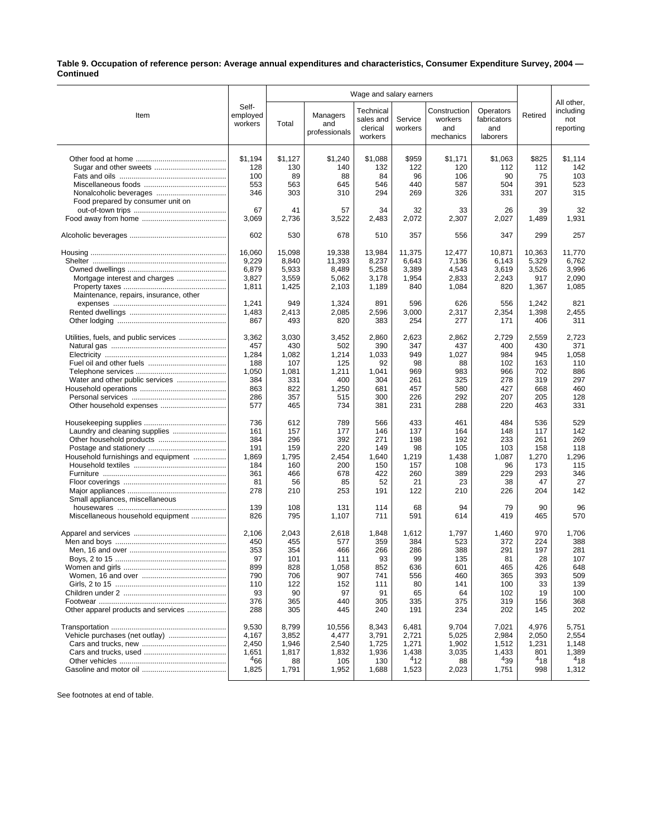## **Table 9. Occupation of reference person: Average annual expenditures and characteristics, Consumer Expenditure Survey, 2004 — Continued**

| Wage and salary earners                |                              |            |                                  |                                               |                    |                                             |                                             |            |                                             |
|----------------------------------------|------------------------------|------------|----------------------------------|-----------------------------------------------|--------------------|---------------------------------------------|---------------------------------------------|------------|---------------------------------------------|
| Item                                   | Self-<br>employed<br>workers | Total      | Managers<br>and<br>professionals | Technical<br>sales and<br>clerical<br>workers | Service<br>workers | Construction<br>workers<br>and<br>mechanics | Operators<br>fabricators<br>and<br>laborers | Retired    | All other,<br>including<br>not<br>reporting |
|                                        | \$1,194                      | \$1,127    | \$1,240                          | \$1,088                                       | \$959              | \$1,171                                     | \$1,063                                     | \$825      | \$1,114                                     |
|                                        | 128                          | 130        | 140                              | 132                                           | 122                | 120                                         | 112                                         | 112        | 142                                         |
|                                        | 100                          | 89         | 88                               | 84                                            | 96                 | 106                                         | 90                                          | 75         | 103                                         |
|                                        | 553                          | 563        | 645                              | 546                                           | 440                | 587                                         | 504                                         | 391        | 523                                         |
|                                        | 346                          | 303        | 310                              | 294                                           | 269                | 326                                         | 331                                         | 207        | 315                                         |
| Food prepared by consumer unit on      |                              |            |                                  |                                               |                    |                                             |                                             |            |                                             |
|                                        | 67                           | 41         | 57                               | 34                                            | 32                 | 33                                          | 26                                          | 39         | 32                                          |
|                                        | 3,069                        | 2,736      | 3,522                            | 2,483                                         | 2,072              | 2,307                                       | 2,027                                       | 1,489      | 1,931                                       |
|                                        | 602                          | 530        | 678                              | 510                                           | 357                | 556                                         | 347                                         | 299        | 257                                         |
|                                        | 16,060                       | 15,098     | 19,338                           | 13,984                                        | 11,375             | 12,477                                      | 10,871                                      | 10,363     | 11,770                                      |
|                                        | 9,229                        | 8,840      | 11,393                           | 8,237                                         | 6,643              | 7,136                                       | 6,143                                       | 5,329      | 6,762                                       |
|                                        | 6,879                        | 5,933      | 8,489                            | 5,258                                         | 3,389              | 4,543                                       | 3,619                                       | 3,526      | 3,996                                       |
| Mortgage interest and charges          | 3,827                        | 3,559      | 5,062                            | 3,178                                         | 1,954              | 2,833                                       | 2,243                                       | 917        | 2,090                                       |
| Maintenance, repairs, insurance, other | 1,811                        | 1,425      | 2,103                            | 1,189                                         | 840                | 1,084                                       | 820                                         | 1,367      | 1,085                                       |
|                                        | 1,241                        | 949        | 1,324                            | 891                                           | 596                | 626                                         | 556                                         | 1,242      | 821                                         |
|                                        | 1,483                        | 2,413      | 2,085                            | 2,596                                         | 3,000              | 2,317                                       | 2,354                                       | 1,398      | 2,455                                       |
|                                        | 867                          | 493        | 820                              | 383                                           | 254                | 277                                         | 171                                         | 406        | 311                                         |
|                                        | 3,362                        | 3,030      | 3,452                            | 2,860                                         | 2,623              | 2,862                                       | 2,729                                       | 2,559      | 2,723                                       |
|                                        | 457                          | 430        | 502                              | 390                                           | 347                | 437                                         | 400                                         | 430        | 371                                         |
|                                        | 1,284                        | 1,082      | 1,214                            | 1,033                                         | 949                | 1,027                                       | 984                                         | 945        | 1,058                                       |
|                                        | 188                          | 107        | 125                              | 92                                            | 98                 | 88                                          | 102                                         | 163        | 110                                         |
|                                        | 1,050                        | 1,081      | 1,211                            | 1,041                                         | 969                | 983                                         | 966                                         | 702        | 886                                         |
|                                        | 384                          | 331        | 400                              | 304                                           | 261                | 325                                         | 278                                         | 319        | 297                                         |
|                                        | 863                          | 822        | 1,250                            | 681                                           | 457                | 580                                         | 427                                         | 668        | 460                                         |
|                                        | 286<br>577                   | 357<br>465 | 515<br>734                       | 300<br>381                                    | 226<br>231         | 292<br>288                                  | 207<br>220                                  | 205<br>463 | 128<br>331                                  |
|                                        | 736                          | 612        | 789                              | 566                                           | 433                | 461                                         | 484                                         | 536        | 529                                         |
| Laundry and cleaning supplies          | 161                          | 157        | 177                              | 146                                           | 137                | 164                                         | 148                                         | 117        | 142                                         |
|                                        | 384                          | 296        | 392                              | 271                                           | 198                | 192                                         | 233                                         | 261        | 269                                         |
|                                        | 191                          | 159        | 220                              | 149                                           | 98                 | 105                                         | 103                                         | 158        | 118                                         |
| Household furnishings and equipment    | 1,869                        | 1,795      | 2,454                            | 1,640                                         | 1,219              | 1,438                                       | 1,087                                       | 1,270      | 1,296                                       |
|                                        | 184                          | 160        | 200                              | 150                                           | 157                | 108                                         | 96                                          | 173        | 115                                         |
|                                        | 361                          | 466        | 678                              | 422                                           | 260                | 389                                         | 229                                         | 293        | 346                                         |
|                                        | 81                           | 56         | 85                               | 52                                            | 21                 | 23                                          | 38                                          | 47         | 27                                          |
| Small appliances, miscellaneous        | 278                          | 210        | 253                              | 191                                           | 122                | 210                                         | 226                                         | 204        | 142                                         |
|                                        | 139                          | 108        | 131                              | 114                                           | 68                 | 94                                          | 79                                          | 90         | 96                                          |
| Miscellaneous household equipment      | 826                          | 795        | 1,107                            | 711                                           | 591                | 614                                         | 419                                         | 465        | 570                                         |
|                                        | 2,106                        | 2,043      | 2,618                            | 1,848                                         | 1,612              | 1,797                                       | 1,460                                       | 970        | 1,706                                       |
|                                        | 450                          | 455        | 577                              | 359                                           | 384                | 523                                         | 372                                         | 224        | 388                                         |
|                                        | 353                          | 354        | 466                              | 266                                           | 286                | 388                                         | 291                                         | 197        | 281                                         |
|                                        | 97<br>899                    | 101<br>828 | 111<br>1,058                     | 93<br>852                                     | 99<br>636          | 135<br>601                                  | 81<br>465                                   | 28<br>426  | 107<br>648                                  |
|                                        | 790                          | 706        | 907                              | 741                                           | 556                | 460                                         | 365                                         | 393        | 509                                         |
|                                        | 110                          | 122        | 152                              | 111                                           | 80                 | 141                                         | 100                                         | 33         | 139                                         |
|                                        | 93                           | 90         | 97                               | 91                                            | 65                 | 64                                          | 102                                         | 19         | 100                                         |
|                                        | 376                          | 365        | 440                              | 305                                           | 335                | 375                                         | 319                                         | 156        | 368                                         |
| Other apparel products and services    | 288                          | 305        | 445                              | 240                                           | 191                | 234                                         | 202                                         | 145        | 202                                         |
|                                        | 9,530                        | 8,799      | 10,556                           | 8,343                                         | 6,481              | 9,704                                       | 7,021                                       | 4,976      | 5,751                                       |
| Vehicle purchases (net outlay)         | 4,167                        | 3,852      | 4,477                            | 3,791                                         | 2,721              | 5,025                                       | 2,984                                       | 2,050      | 2,554                                       |
|                                        | 2,450                        | 1,946      | 2,540                            | 1,725                                         | 1,271              | 1,902                                       | 1,512                                       | 1,231      | 1,148                                       |
|                                        | 1,651                        | 1,817      | 1,832                            | 1,936                                         | 1,438              | 3,035                                       | 1,433                                       | 801        | 1,389                                       |
|                                        | 466                          | 88         | 105                              | 130                                           | 412                | 88                                          | 439                                         | 418        | 418                                         |
|                                        | 1,825                        | 1,791      | 1,952                            | 1,688                                         | 1,523              | 2,023                                       | 1,751                                       | 998        | 1,312                                       |

See footnotes at end of table.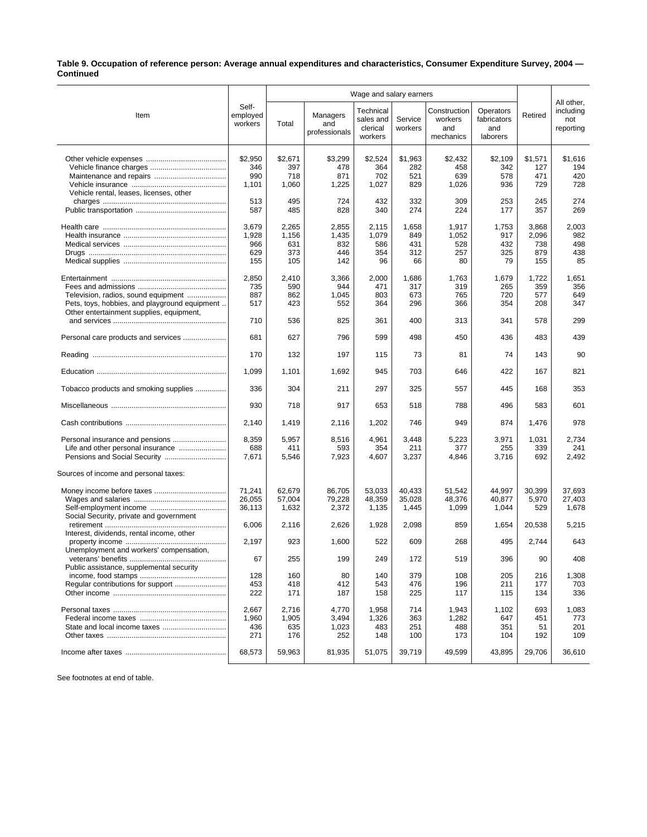## **Table 9. Occupation of reference person: Average annual expenditures and characteristics, Consumer Expenditure Survey, 2004 — Continued**

| Wage and salary earners                       |                              |         |                                  |                                               |                    |                                             |                                             |         |                                             |
|-----------------------------------------------|------------------------------|---------|----------------------------------|-----------------------------------------------|--------------------|---------------------------------------------|---------------------------------------------|---------|---------------------------------------------|
| Item                                          | Self-<br>employed<br>workers | Total   | Managers<br>and<br>professionals | Technical<br>sales and<br>clerical<br>workers | Service<br>workers | Construction<br>workers<br>and<br>mechanics | Operators<br>fabricators<br>and<br>laborers | Retired | All other,<br>including<br>not<br>reporting |
|                                               | \$2,950                      | \$2,671 | \$3,299                          | \$2,524                                       | \$1,963            | \$2,432                                     | \$2,109                                     | \$1,571 | \$1,616                                     |
|                                               | 346                          | 397     | 478                              | 364                                           | 282                | 458                                         | 342                                         | 127     | 194                                         |
|                                               | 990                          | 718     | 871                              | 702                                           | 521                | 639                                         | 578                                         | 471     | 420                                         |
|                                               | 1,101                        | 1,060   | 1,225                            | 1,027                                         | 829                | 1,026                                       | 936                                         | 729     | 728                                         |
| Vehicle rental, leases, licenses, other       |                              |         |                                  |                                               |                    |                                             |                                             |         |                                             |
|                                               | 513                          | 495     | 724                              | 432                                           | 332                | 309                                         | 253                                         | 245     | 274                                         |
|                                               | 587                          | 485     | 828                              | 340                                           | 274                | 224                                         | 177                                         | 357     | 269                                         |
|                                               | 3,679                        | 2,265   | 2,855                            | 2,115                                         | 1,658              | 1,917                                       | 1,753                                       | 3,868   | 2,003                                       |
|                                               | 1,928                        | 1,156   | 1,435                            | 1,079                                         | 849                | 1,052                                       | 917                                         | 2,096   | 982                                         |
|                                               | 966                          | 631     | 832                              | 586                                           | 431                | 528                                         | 432                                         | 738     | 498                                         |
|                                               | 629                          | 373     | 446                              | 354                                           | 312                | 257                                         | 325                                         | 879     | 438                                         |
|                                               | 155                          | 105     | 142                              | 96                                            | 66                 | 80                                          | 79                                          | 155     | 85                                          |
|                                               |                              |         |                                  |                                               |                    |                                             |                                             |         |                                             |
|                                               | 2,850                        | 2,410   | 3,366                            | 2,000                                         | 1,686              | 1,763                                       | 1,679                                       | 1,722   | 1,651                                       |
|                                               | 735                          | 590     | 944                              | 471                                           | 317                | 319                                         | 265                                         | 359     | 356                                         |
| Television, radios, sound equipment           | 887                          | 862     | 1,045                            | 803                                           | 673                | 765                                         | 720                                         | 577     | 649                                         |
| Pets, toys, hobbies, and playground equipment | 517                          | 423     | 552                              | 364                                           | 296                | 366                                         | 354                                         | 208     | 347                                         |
| Other entertainment supplies, equipment,      | 710                          | 536     | 825                              | 361                                           | 400                | 313                                         | 341                                         | 578     | 299                                         |
| Personal care products and services           | 681                          | 627     | 796                              | 599                                           | 498                | 450                                         | 436                                         | 483     | 439                                         |
|                                               | 170                          | 132     | 197                              | 115                                           | 73                 | 81                                          | 74                                          | 143     | 90                                          |
|                                               | 1,099                        | 1,101   | 1,692                            | 945                                           | 703                | 646                                         | 422                                         | 167     | 821                                         |
| Tobacco products and smoking supplies         | 336                          | 304     | 211                              | 297                                           | 325                | 557                                         | 445                                         | 168     | 353                                         |
|                                               | 930                          | 718     | 917                              | 653                                           | 518                | 788                                         | 496                                         | 583     | 601                                         |
|                                               | 2,140                        | 1,419   | 2,116                            | 1,202                                         | 746                | 949                                         | 874                                         | 1,476   | 978                                         |
|                                               | 8,359                        | 5,957   | 8,516                            | 4,961                                         | 3,448              | 5,223                                       | 3,971                                       | 1,031   | 2,734                                       |
| Life and other personal insurance             | 688                          | 411     | 593                              | 354                                           | 211                | 377                                         | 255                                         | 339     | 241                                         |
|                                               | 7,671                        | 5,546   | 7,923                            | 4,607                                         | 3,237              | 4,846                                       | 3,716                                       | 692     | 2,492                                       |
| Sources of income and personal taxes:         |                              |         |                                  |                                               |                    |                                             |                                             |         |                                             |
|                                               | 71,241                       | 62,679  | 86,705                           | 53,033                                        | 40,433             | 51,542                                      | 44,997                                      | 30,399  | 37.693                                      |
|                                               | 26,055                       | 57,004  | 79,228                           | 48,359                                        | 35,028             | 48,376                                      | 40,877                                      | 5,970   | 27,403                                      |
|                                               | 36,113                       | 1,632   | 2,372                            | 1,135                                         | 1,445              | 1,099                                       | 1,044                                       | 529     | 1,678                                       |
| Social Security, private and government       |                              |         |                                  |                                               |                    |                                             |                                             |         |                                             |
|                                               | 6,006                        | 2,116   | 2,626                            | 1,928                                         | 2,098              | 859                                         | 1,654                                       | 20,538  | 5,215                                       |
| Interest, dividends, rental income, other     |                              |         |                                  |                                               |                    |                                             |                                             |         |                                             |
|                                               | 2,197                        | 923     | 1,600                            | 522                                           | 609                | 268                                         | 495                                         | 2,744   | 643                                         |
| Unemployment and workers' compensation,       |                              |         |                                  |                                               |                    |                                             |                                             |         |                                             |
| Public assistance, supplemental security      | 67                           | 255     | 199                              | 249                                           | 172                | 519                                         | 396                                         | 90      | 408                                         |
|                                               | 128                          | 160     | 80                               | 140                                           | 379                | 108                                         | 205                                         | 216     | 1,308                                       |
| Regular contributions for support             | 453                          | 418     | 412                              | 543                                           | 476                | 196                                         | 211                                         | 177     | 703                                         |
|                                               | 222                          | 171     | 187                              | 158                                           | 225                | 117                                         | 115                                         | 134     | 336                                         |
|                                               |                              |         |                                  |                                               |                    |                                             |                                             |         |                                             |
|                                               | 2.667                        | 2,716   | 4,770                            | 1,958                                         | 714                | 1,943                                       | 1,102                                       | 693     | 1,083                                       |
|                                               | 1,960                        | 1,905   | 3,494                            | 1,326                                         | 363                | 1,282                                       | 647                                         | 451     | 773                                         |
|                                               | 436                          | 635     | 1,023                            | 483                                           | 251                | 488                                         | 351                                         | 51      | 201                                         |
|                                               | 271                          | 176     | 252                              | 148                                           | 100                | 173                                         | 104                                         | 192     | 109                                         |
|                                               | 68,573                       | 59,963  | 81,935                           | 51,075                                        | 39,719             | 49,599                                      | 43,895                                      | 29,706  | 36,610                                      |

See footnotes at end of table.